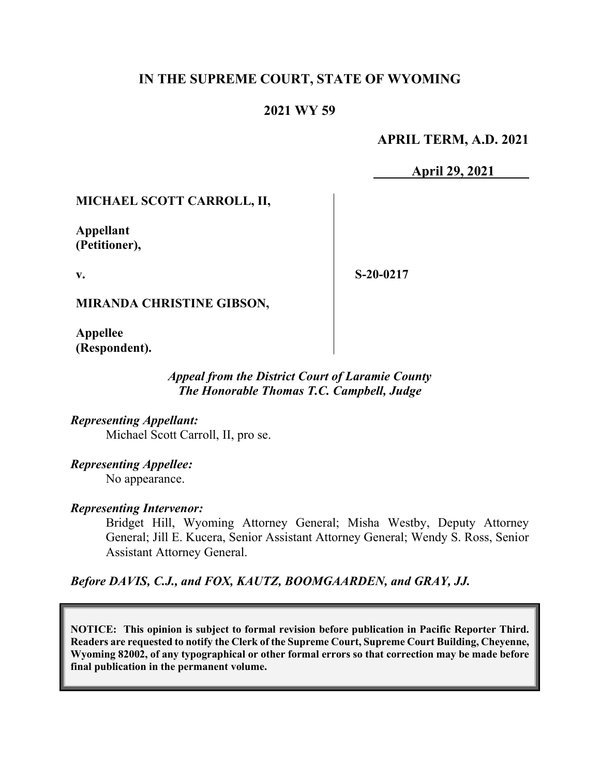# **IN THE SUPREME COURT, STATE OF WYOMING**

# **2021 WY 59**

## **APRIL TERM, A.D. 2021**

**April 29, 2021**

## **MICHAEL SCOTT CARROLL, II,**

**Appellant (Petitioner),**

**v.**

**S-20-0217**

**MIRANDA CHRISTINE GIBSON,**

**Appellee (Respondent).**

## *Appeal from the District Court of Laramie County The Honorable Thomas T.C. Campbell, Judge*

*Representing Appellant:* Michael Scott Carroll, II, pro se.

*Representing Appellee:* No appearance.

## *Representing Intervenor:*

Bridget Hill, Wyoming Attorney General; Misha Westby, Deputy Attorney General; Jill E. Kucera, Senior Assistant Attorney General; Wendy S. Ross, Senior Assistant Attorney General.

*Before DAVIS, C.J., and FOX, KAUTZ, BOOMGAARDEN, and GRAY, JJ.*

**NOTICE: This opinion is subject to formal revision before publication in Pacific Reporter Third. Readers are requested to notify the Clerk of the Supreme Court, Supreme Court Building, Cheyenne, Wyoming 82002, of any typographical or other formal errors so that correction may be made before final publication in the permanent volume.**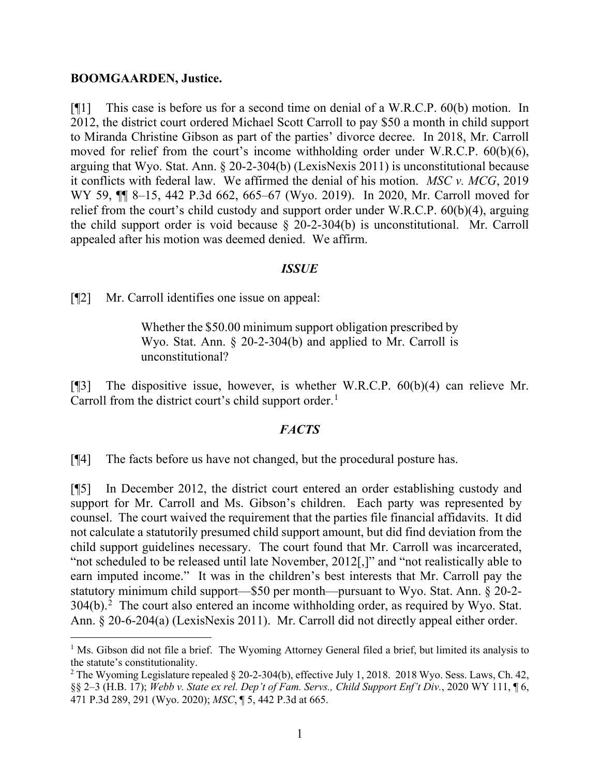#### **BOOMGAARDEN, Justice.**

[¶1] This case is before us for a second time on denial of a W.R.C.P. 60(b) motion. In 2012, the district court ordered Michael Scott Carroll to pay \$50 a month in child support to Miranda Christine Gibson as part of the parties' divorce decree. In 2018, Mr. Carroll moved for relief from the court's income withholding order under W.R.C.P. 60(b)(6), arguing that Wyo. Stat. Ann. § 20-2-304(b) (LexisNexis 2011) is unconstitutional because it conflicts with federal law. We affirmed the denial of his motion. *MSC v. MCG*, 2019 WY 59, ¶¶ 8–15, 442 P.3d 662, 665–67 (Wyo. 2019). In 2020, Mr. Carroll moved for relief from the court's child custody and support order under W.R.C.P. 60(b)(4), arguing the child support order is void because § 20-2-304(b) is unconstitutional. Mr. Carroll appealed after his motion was deemed denied. We affirm.

## *ISSUE*

[¶2] Mr. Carroll identifies one issue on appeal:

Whether the \$50.00 minimum support obligation prescribed by Wyo. Stat. Ann. § 20-2-304(b) and applied to Mr. Carroll is unconstitutional?

[¶3] The dispositive issue, however, is whether W.R.C.P. 60(b)(4) can relieve Mr. Carroll from the district court's child support order. [1](#page-1-0)

## *FACTS*

[¶4] The facts before us have not changed, but the procedural posture has.

[¶5] In December 2012, the district court entered an order establishing custody and support for Mr. Carroll and Ms. Gibson's children. Each party was represented by counsel. The court waived the requirement that the parties file financial affidavits. It did not calculate a statutorily presumed child support amount, but did find deviation from the child support guidelines necessary. The court found that Mr. Carroll was incarcerated, "not scheduled to be released until late November, 2012[,]" and "not realistically able to earn imputed income." It was in the children's best interests that Mr. Carroll pay the statutory minimum child support—\$50 per month—pursuant to Wyo. Stat. Ann. § 20-2-  $304(b)$ .<sup>[2](#page-1-1)</sup> The court also entered an income withholding order, as required by Wyo. Stat. Ann. § 20-6-204(a) (LexisNexis 2011). Mr. Carroll did not directly appeal either order.

<span id="page-1-0"></span><sup>&</sup>lt;sup>1</sup> Ms. Gibson did not file a brief. The Wyoming Attorney General filed a brief, but limited its analysis to the statute's constitutionality.<br><sup>2</sup> The Wyoming Legislature repealed § 20-2-304(b), effective July 1, 2018. 2018 Wyo. Sess. Laws, Ch. 42,

<span id="page-1-1"></span><sup>§§ 2–3 (</sup>H.B. 17); *Webb v. State ex rel. Dep't of Fam. Servs., Child Support Enf't Div.*, 2020 WY 111, ¶ 6, 471 P.3d 289, 291 (Wyo. 2020); *MSC*, ¶ 5, 442 P.3d at 665.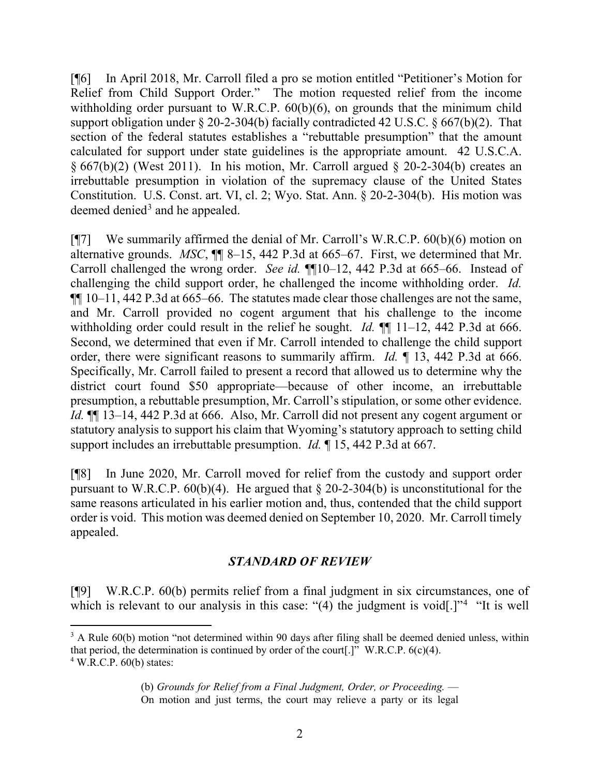[¶6] In April 2018, Mr. Carroll filed a pro se motion entitled "Petitioner's Motion for Relief from Child Support Order." The motion requested relief from the income withholding order pursuant to W.R.C.P.  $60(b)(6)$ , on grounds that the minimum child support obligation under § 20-2-304(b) facially contradicted 42 U.S.C. § 667(b)(2). That section of the federal statutes establishes a "rebuttable presumption" that the amount calculated for support under state guidelines is the appropriate amount. 42 U.S.C.A.  $§ 667(b)(2)$  (West 2011). In his motion, Mr. Carroll argued § 20-2-304(b) creates an irrebuttable presumption in violation of the supremacy clause of the United States Constitution. U.S. Const. art. VI, cl. 2; Wyo. Stat. Ann. § 20-2-304(b). His motion was deemed denied $3$  and he appealed.

[¶7] We summarily affirmed the denial of Mr. Carroll's W.R.C.P. 60(b)(6) motion on alternative grounds. *MSC*, ¶¶ 8–15, 442 P.3d at 665–67. First, we determined that Mr. Carroll challenged the wrong order. *See id.* ¶¶10–12, 442 P.3d at 665–66. Instead of challenging the child support order, he challenged the income withholding order. *Id.* ¶¶ 10–11, 442 P.3d at 665–66. The statutes made clear those challenges are not the same, and Mr. Carroll provided no cogent argument that his challenge to the income withholding order could result in the relief he sought. *Id.* **[1**] 11–12, 442 P.3d at 666. Second, we determined that even if Mr. Carroll intended to challenge the child support order, there were significant reasons to summarily affirm. *Id.* ¶ 13, 442 P.3d at 666. Specifically, Mr. Carroll failed to present a record that allowed us to determine why the district court found \$50 appropriate—because of other income, an irrebuttable presumption, a rebuttable presumption, Mr. Carroll's stipulation, or some other evidence. *Id.* ¶¶ 13–14, 442 P.3d at 666. Also, Mr. Carroll did not present any cogent argument or statutory analysis to support his claim that Wyoming's statutory approach to setting child support includes an irrebuttable presumption. *Id.* ¶ 15, 442 P.3d at 667.

[¶8] In June 2020, Mr. Carroll moved for relief from the custody and support order pursuant to W.R.C.P.  $60(b)(4)$ . He argued that § 20-2-304(b) is unconstitutional for the same reasons articulated in his earlier motion and, thus, contended that the child support order is void. This motion was deemed denied on September 10, 2020. Mr. Carroll timely appealed.

## *STANDARD OF REVIEW*

[¶9] W.R.C.P. 60(b) permits relief from a final judgment in six circumstances, one of which is relevant to our analysis in this case: "([4](#page-2-1)) the judgment is void[.]"<sup>4</sup> "It is well

<span id="page-2-1"></span><span id="page-2-0"></span> $3$  A Rule 60(b) motion "not determined within 90 days after filing shall be deemed denied unless, within that period, the determination is continued by order of the court[.]" W.R.C.P.  $6(c)(4)$ .  $4$  W.R.C.P.  $60(b)$  states:

<sup>(</sup>b) *Grounds for Relief from a Final Judgment, Order, or Proceeding.* — On motion and just terms, the court may relieve a party or its legal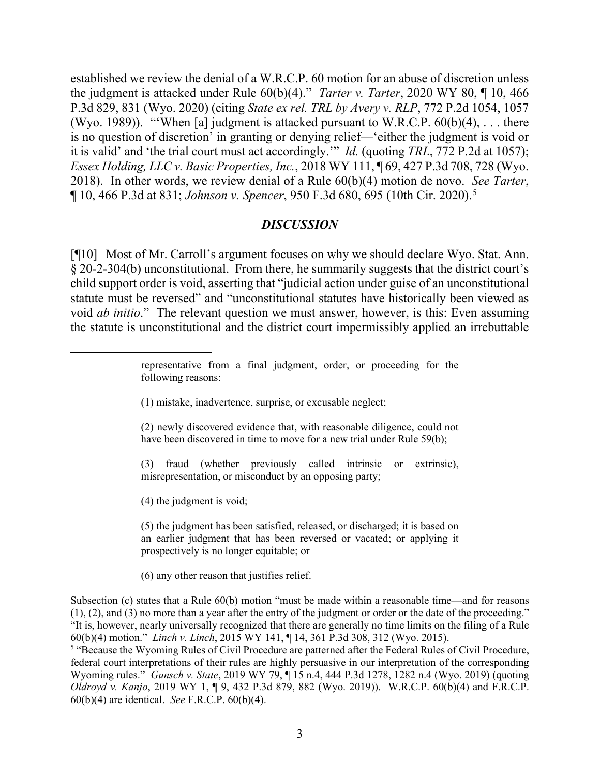established we review the denial of a W.R.C.P. 60 motion for an abuse of discretion unless the judgment is attacked under Rule 60(b)(4)." *Tarter v. Tarter*, 2020 WY 80, ¶ 10, 466 P.3d 829, 831 (Wyo. 2020) (citing *State ex rel. TRL by Avery v. RLP*, 772 P.2d 1054, 1057 (Wyo. 1989)). "'When [a] judgment is attacked pursuant to W.R.C.P.  $60(b)(4)$ , ... there is no question of discretion' in granting or denying relief—'either the judgment is void or it is valid' and 'the trial court must act accordingly.'" *Id.* (quoting *TRL*, 772 P.2d at 1057); *Essex Holding, LLC v. Basic Properties, Inc.*, 2018 WY 111, ¶ 69, 427 P.3d 708, 728 (Wyo. 2018). In other words, we review denial of a Rule 60(b)(4) motion de novo. *See Tarter*, ¶ 10, 466 P.3d at 831; *Johnson v. Spencer*, 950 F.3d 680, 695 (10th Cir. 2020).[5](#page-3-0)

#### *DISCUSSION*

[¶10] Most of Mr. Carroll's argument focuses on why we should declare Wyo. Stat. Ann. § 20-2-304(b) unconstitutional. From there, he summarily suggests that the district court's child support order is void, asserting that "judicial action under guise of an unconstitutional statute must be reversed" and "unconstitutional statutes have historically been viewed as void *ab initio*." The relevant question we must answer, however, is this: Even assuming the statute is unconstitutional and the district court impermissibly applied an irrebuttable

- (1) mistake, inadvertence, surprise, or excusable neglect;
- (2) newly discovered evidence that, with reasonable diligence, could not have been discovered in time to move for a new trial under Rule 59(b);
- (3) fraud (whether previously called intrinsic or extrinsic), misrepresentation, or misconduct by an opposing party;

(4) the judgment is void;

(5) the judgment has been satisfied, released, or discharged; it is based on an earlier judgment that has been reversed or vacated; or applying it prospectively is no longer equitable; or

(6) any other reason that justifies relief.

Subsection (c) states that a Rule 60(b) motion "must be made within a reasonable time—and for reasons (1), (2), and (3) no more than a year after the entry of the judgment or order or the date of the proceeding." "It is, however, nearly universally recognized that there are generally no time limits on the filing of a Rule 60(b)(4) motion." *Linch v. Linch*, 2015 WY 141, ¶ 14, 361 P.3d 308, 312 (Wyo. 2015).

<span id="page-3-0"></span><sup>5</sup> "Because the Wyoming Rules of Civil Procedure are patterned after the Federal Rules of Civil Procedure, federal court interpretations of their rules are highly persuasive in our interpretation of the corresponding Wyoming rules." *Gunsch v. State*, 2019 WY 79, ¶ 15 n.4, 444 P.3d 1278, 1282 n.4 (Wyo. 2019) (quoting *Oldroyd v. Kanjo*, 2019 WY 1, ¶ 9, 432 P.3d 879, 882 (Wyo. 2019)). W.R.C.P. 60(b)(4) and F.R.C.P. 60(b)(4) are identical. *See* F.R.C.P. 60(b)(4).

representative from a final judgment, order, or proceeding for the following reasons: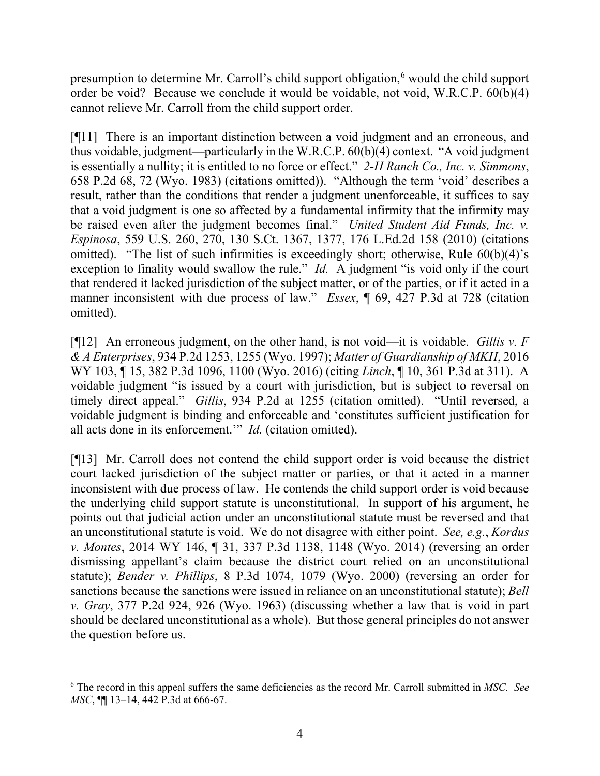presumption to determine Mr. Carroll's child support obligation,<sup>[6](#page-4-0)</sup> would the child support order be void? Because we conclude it would be voidable, not void, W.R.C.P. 60(b)(4) cannot relieve Mr. Carroll from the child support order.

[¶11] There is an important distinction between a void judgment and an erroneous, and thus voidable, judgment—particularly in the W.R.C.P. 60(b)(4) context. "A void judgment is essentially a nullity; it is entitled to no force or effect." *2-H Ranch Co., Inc. v. Simmons*, 658 P.2d 68, 72 (Wyo. 1983) (citations omitted)). "Although the term 'void' describes a result, rather than the conditions that render a judgment unenforceable, it suffices to say that a void judgment is one so affected by a fundamental infirmity that the infirmity may be raised even after the judgment becomes final." *United Student Aid Funds, Inc. v. Espinosa*, 559 U.S. 260, 270, 130 S.Ct. 1367, 1377, 176 L.Ed.2d 158 (2010) (citations omitted). "The list of such infirmities is exceedingly short; otherwise, Rule 60(b)(4)'s exception to finality would swallow the rule." *Id.* A judgment "is void only if the court that rendered it lacked jurisdiction of the subject matter, or of the parties, or if it acted in a manner inconsistent with due process of law." *Essex*, ¶ 69, 427 P.3d at 728 (citation omitted).

[¶12] An erroneous judgment, on the other hand, is not void—it is voidable. *Gillis v. F & A Enterprises*, 934 P.2d 1253, 1255 (Wyo. 1997); *Matter of Guardianship of MKH*, 2016 WY 103, ¶ 15, 382 P.3d 1096, 1100 (Wyo. 2016) (citing *Linch*, ¶ 10, 361 P.3d at 311). A voidable judgment "is issued by a court with jurisdiction, but is subject to reversal on timely direct appeal." *Gillis*, 934 P.2d at 1255 (citation omitted). "Until reversed, a voidable judgment is binding and enforceable and 'constitutes sufficient justification for all acts done in its enforcement.'" *Id.* (citation omitted).

[¶13] Mr. Carroll does not contend the child support order is void because the district court lacked jurisdiction of the subject matter or parties, or that it acted in a manner inconsistent with due process of law. He contends the child support order is void because the underlying child support statute is unconstitutional. In support of his argument, he points out that judicial action under an unconstitutional statute must be reversed and that an unconstitutional statute is void. We do not disagree with either point. *See, e.g.*, *Kordus v. Montes*, 2014 WY 146, ¶ 31, 337 P.3d 1138, 1148 (Wyo. 2014) (reversing an order dismissing appellant's claim because the district court relied on an unconstitutional statute); *Bender v. Phillips*, 8 P.3d 1074, 1079 (Wyo. 2000) (reversing an order for sanctions because the sanctions were issued in reliance on an unconstitutional statute); *Bell v. Gray*, 377 P.2d 924, 926 (Wyo. 1963) (discussing whether a law that is void in part should be declared unconstitutional as a whole). But those general principles do not answer the question before us.

<span id="page-4-0"></span><sup>6</sup> The record in this appeal suffers the same deficiencies as the record Mr. Carroll submitted in *MSC*. *See MSC*, ¶¶ 13–14, 442 P.3d at 666-67.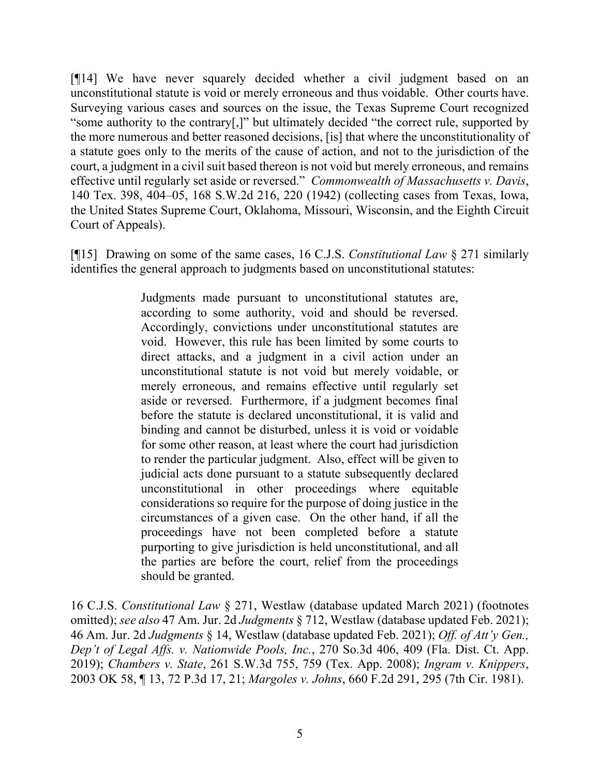[¶14] We have never squarely decided whether a civil judgment based on an unconstitutional statute is void or merely erroneous and thus voidable. Other courts have. Surveying various cases and sources on the issue, the Texas Supreme Court recognized "some authority to the contrary[,]" but ultimately decided "the correct rule, supported by the more numerous and better reasoned decisions, [is] that where the unconstitutionality of a statute goes only to the merits of the cause of action, and not to the jurisdiction of the court, a judgment in a civil suit based thereon is not void but merely erroneous, and remains effective until regularly set aside or reversed." *Commonwealth of Massachusetts v. Davis*, 140 Tex. 398, 404–05, 168 S.W.2d 216, 220 (1942) (collecting cases from Texas, Iowa, the United States Supreme Court, Oklahoma, Missouri, Wisconsin, and the Eighth Circuit Court of Appeals).

[¶15] Drawing on some of the same cases, 16 C.J.S. *Constitutional Law* § 271 similarly identifies the general approach to judgments based on unconstitutional statutes:

> Judgments made pursuant to unconstitutional statutes are, according to some authority, void and should be reversed. Accordingly, convictions under unconstitutional statutes are void. However, this rule has been limited by some courts to direct attacks, and a judgment in a civil action under an unconstitutional statute is not void but merely voidable, or merely erroneous, and remains effective until regularly set aside or reversed. Furthermore, if a judgment becomes final before the statute is declared unconstitutional, it is valid and binding and cannot be disturbed, unless it is void or voidable for some other reason, at least where the court had jurisdiction to render the particular judgment. Also, effect will be given to judicial acts done pursuant to a statute subsequently declared unconstitutional in other proceedings where equitable considerations so require for the purpose of doing justice in the circumstances of a given case. On the other hand, if all the proceedings have not been completed before a statute purporting to give jurisdiction is held unconstitutional, and all the parties are before the court, relief from the proceedings should be granted.

16 C.J.S. *Constitutional Law* § 271, Westlaw (database updated March 2021) (footnotes omitted); *see also* 47 Am. Jur. 2d *Judgments* § 712, Westlaw (database updated Feb. 2021); 46 Am. Jur. 2d *Judgments* § 14, Westlaw (database updated Feb. 2021); *Off. of Att'y Gen., Dep't of Legal Affs. v. Nationwide Pools, Inc.*, 270 So.3d 406, 409 (Fla. Dist. Ct. App. 2019); *Chambers v. State*, 261 S.W.3d 755, 759 (Tex. App. 2008); *Ingram v. Knippers*, 2003 OK 58, ¶ 13, 72 P.3d 17, 21; *Margoles v. Johns*, 660 F.2d 291, 295 (7th Cir. 1981).